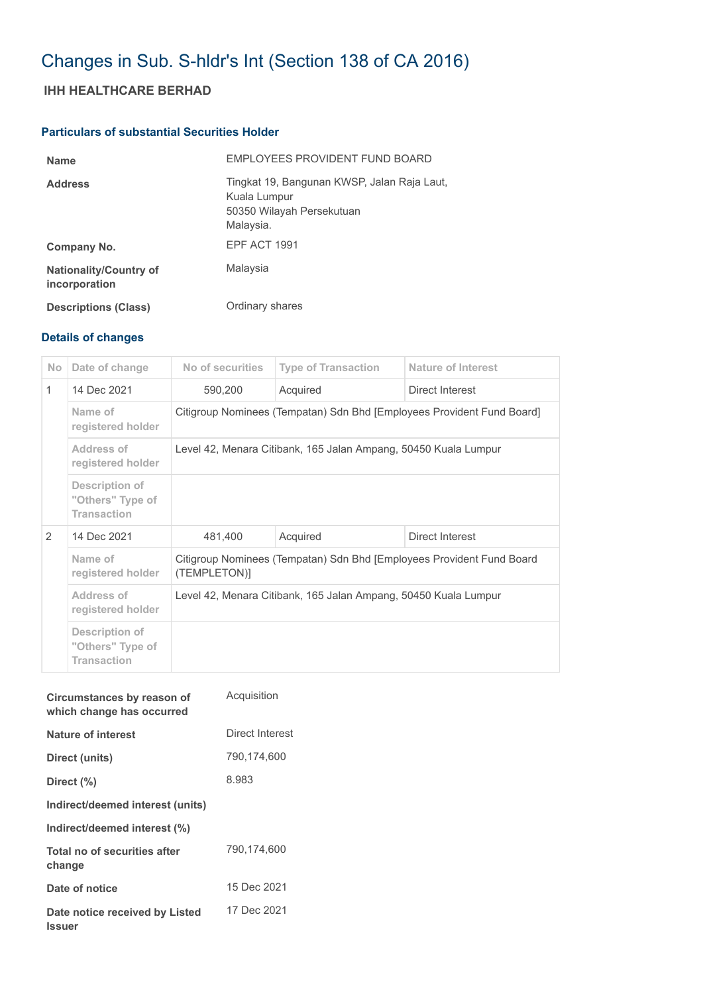# Changes in Sub. S-hldr's Int (Section 138 of CA 2016)

## **IHH HEALTHCARE BERHAD**

## **Particulars of substantial Securities Holder**

| <b>Name</b>                                    | EMPLOYEES PROVIDENT FUND BOARD                                                                        |
|------------------------------------------------|-------------------------------------------------------------------------------------------------------|
| <b>Address</b>                                 | Tingkat 19, Bangunan KWSP, Jalan Raja Laut,<br>Kuala Lumpur<br>50350 Wilayah Persekutuan<br>Malaysia. |
| Company No.                                    | EPF ACT 1991                                                                                          |
| <b>Nationality/Country of</b><br>incorporation | Malaysia                                                                                              |
| <b>Descriptions (Class)</b>                    | Ordinary shares                                                                                       |

## **Details of changes**

| <b>No</b>     | Date of change                                           | No of securities                                                                      | <b>Type of Transaction</b> | <b>Nature of Interest</b> |  |
|---------------|----------------------------------------------------------|---------------------------------------------------------------------------------------|----------------------------|---------------------------|--|
| $\mathbf{1}$  | 14 Dec 2021                                              | 590,200                                                                               | Acquired                   | Direct Interest           |  |
|               | Name of<br>registered holder                             | Citigroup Nominees (Tempatan) Sdn Bhd [Employees Provident Fund Board]                |                            |                           |  |
|               | Address of<br>registered holder                          | Level 42, Menara Citibank, 165 Jalan Ampang, 50450 Kuala Lumpur                       |                            |                           |  |
|               | Description of<br>"Others" Type of<br><b>Transaction</b> |                                                                                       |                            |                           |  |
| $\mathcal{P}$ | 14 Dec 2021                                              | 481,400                                                                               | Acquired                   | Direct Interest           |  |
|               | Name of<br>registered holder                             | Citigroup Nominees (Tempatan) Sdn Bhd [Employees Provident Fund Board<br>(TEMPLETON)] |                            |                           |  |
|               | Address of<br>registered holder                          | Level 42, Menara Citibank, 165 Jalan Ampang, 50450 Kuala Lumpur                       |                            |                           |  |
|               | Description of<br>"Others" Type of<br><b>Transaction</b> |                                                                                       |                            |                           |  |

| Circumstances by reason of<br>which change has occurred | Acquisition     |
|---------------------------------------------------------|-----------------|
| Nature of interest                                      | Direct Interest |
| Direct (units)                                          | 790.174.600     |
| Direct (%)                                              | 8.983           |
| Indirect/deemed interest (units)                        |                 |
| Indirect/deemed interest (%)                            |                 |
| Total no of securities after<br>change                  | 790,174,600     |
| Date of notice                                          | 15 Dec 2021     |
| Date notice received by Listed<br><b>Issuer</b>         | 17 Dec 2021     |